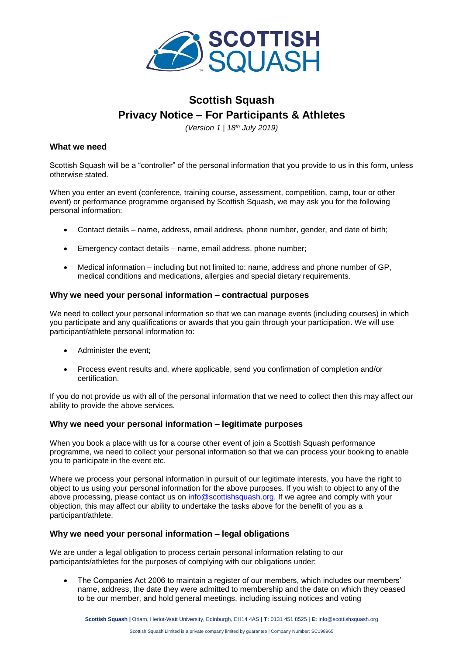

# **Scottish Squash Privacy Notice – For Participants & Athletes**

*(Version 1 | 18th July 2019)*

## **What we need**

Scottish Squash will be a "controller" of the personal information that you provide to us in this form, unless otherwise stated.

When you enter an event (conference, training course, assessment, competition, camp, tour or other event) or performance programme organised by Scottish Squash, we may ask you for the following personal information:

- Contact details name, address, email address, phone number, gender, and date of birth;
- Emergency contact details name, email address, phone number;
- Medical information including but not limited to: name, address and phone number of GP, medical conditions and medications, allergies and special dietary requirements.

#### **Why we need your personal information – contractual purposes**

We need to collect your personal information so that we can manage events (including courses) in which you participate and any qualifications or awards that you gain through your participation. We will use participant/athlete personal information to:

- Administer the event;
- Process event results and, where applicable, send you confirmation of completion and/or certification.

If you do not provide us with all of the personal information that we need to collect then this may affect our ability to provide the above services.

#### **Why we need your personal information – legitimate purposes**

When you book a place with us for a course other event of join a Scottish Squash performance programme, we need to collect your personal information so that we can process your booking to enable you to participate in the event etc.

Where we process your personal information in pursuit of our legitimate interests, you have the right to object to us using your personal information for the above purposes. If you wish to object to any of the above processing, please contact us on [info@scottishsquash.org.](mailto:info@scottishsquash.org) If we agree and comply with your objection, this may affect our ability to undertake the tasks above for the benefit of you as a participant/athlete.

#### **Why we need your personal information – legal obligations**

We are under a legal obligation to process certain personal information relating to our participants/athletes for the purposes of complying with our obligations under:

• The Companies Act 2006 to maintain a register of our members, which includes our members' name, address, the date they were admitted to membership and the date on which they ceased to be our member, and hold general meetings, including issuing notices and voting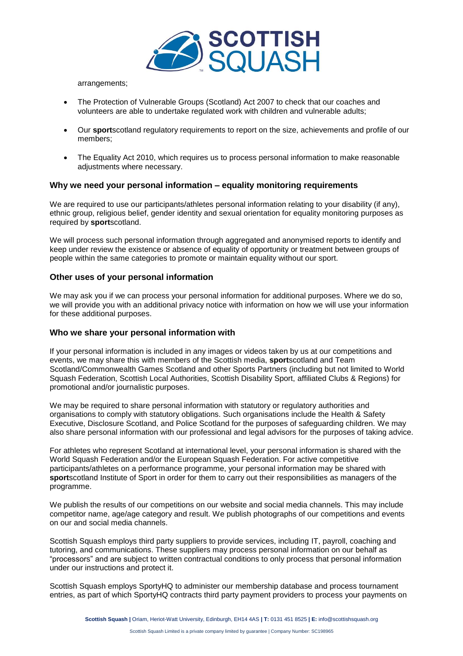

arrangements;

- The Protection of Vulnerable Groups (Scotland) Act 2007 to check that our coaches and volunteers are able to undertake regulated work with children and vulnerable adults;
- Our **sport**scotland regulatory requirements to report on the size, achievements and profile of our members;
- The Equality Act 2010, which requires us to process personal information to make reasonable adjustments where necessary.

## **Why we need your personal information – equality monitoring requirements**

We are required to use our participants/athletes personal information relating to your disability (if any), ethnic group, religious belief, gender identity and sexual orientation for equality monitoring purposes as required by **sport**scotland.

We will process such personal information through aggregated and anonymised reports to identify and keep under review the existence or absence of equality of opportunity or treatment between groups of people within the same categories to promote or maintain equality without our sport.

#### **Other uses of your personal information**

We may ask you if we can process your personal information for additional purposes. Where we do so, we will provide you with an additional privacy notice with information on how we will use your information for these additional purposes.

#### **Who we share your personal information with**

If your personal information is included in any images or videos taken by us at our competitions and events, we may share this with members of the Scottish media, **sport**scotland and Team Scotland/Commonwealth Games Scotland and other Sports Partners (including but not limited to World Squash Federation, Scottish Local Authorities, Scottish Disability Sport, affiliated Clubs & Regions) for promotional and/or journalistic purposes.

We may be required to share personal information with statutory or regulatory authorities and organisations to comply with statutory obligations. Such organisations include the Health & Safety Executive, Disclosure Scotland, and Police Scotland for the purposes of safeguarding children. We may also share personal information with our professional and legal advisors for the purposes of taking advice.

For athletes who represent Scotland at international level, your personal information is shared with the World Squash Federation and/or the European Squash Federation. For active competitive participants/athletes on a performance programme, your personal information may be shared with **sport**scotland Institute of Sport in order for them to carry out their responsibilities as managers of the programme.

We publish the results of our competitions on our website and social media channels. This may include competitor name, age/age category and result. We publish photographs of our competitions and events on our and social media channels.

Scottish Squash employs third party suppliers to provide services, including IT, payroll, coaching and tutoring, and communications. These suppliers may process personal information on our behalf as "processors" and are subject to written contractual conditions to only process that personal information under our instructions and protect it.

Scottish Squash employs SportyHQ to administer our membership database and process tournament entries, as part of which SportyHQ contracts third party payment providers to process your payments on